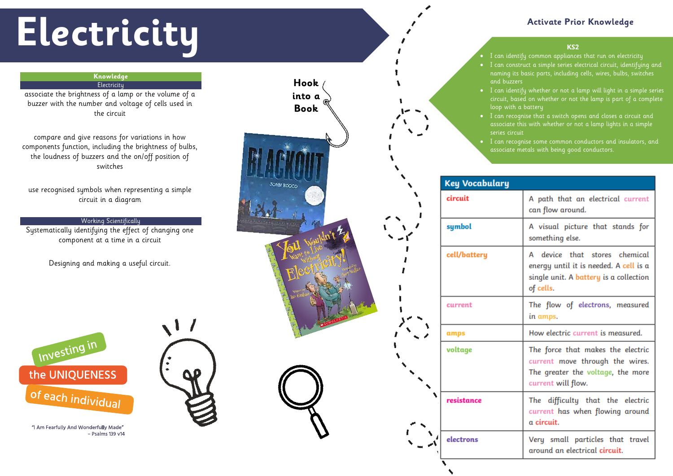### **KS2**

# **Electricity Activate Prior Knowledge**

## **Knowledge Electricity**

- I can identify common appliances that run on electricity • I can construct a simple series electrical circuit, identifying and naming its basic parts, including cells, wires, bulbs, switches
- I can identify whether or not a lamp will light in a simple series circuit, based on whether or not the lamp is part of a complete loop with a battery
- I can recognise that a switch opens and closes a circuit and associate this with whether or not a lamp lights in a simple
	- I can recognise some common conductors and insulators, and associate metals with being good conductors.

| A path that an electrical current<br>can flow around.<br>A visual picture that stands for<br>something else.<br>A device that stores chemical<br>energy until it is needed. A cell is a<br>single unit. A battery is a collection<br>of cells.<br>The flow of electrons, measured<br>in amps.<br>How electric current is measured.<br>The force that makes the electric<br>current move through the wires.<br>The greater the voltage, the more<br>current will flow.<br>The difficulty that the electric<br>current has when flowing around<br>a circuit.<br>Very small particles that travel<br>around an electrical <b>circuit</b> . |  |
|-----------------------------------------------------------------------------------------------------------------------------------------------------------------------------------------------------------------------------------------------------------------------------------------------------------------------------------------------------------------------------------------------------------------------------------------------------------------------------------------------------------------------------------------------------------------------------------------------------------------------------------------|--|
|                                                                                                                                                                                                                                                                                                                                                                                                                                                                                                                                                                                                                                         |  |
|                                                                                                                                                                                                                                                                                                                                                                                                                                                                                                                                                                                                                                         |  |
|                                                                                                                                                                                                                                                                                                                                                                                                                                                                                                                                                                                                                                         |  |
|                                                                                                                                                                                                                                                                                                                                                                                                                                                                                                                                                                                                                                         |  |
|                                                                                                                                                                                                                                                                                                                                                                                                                                                                                                                                                                                                                                         |  |
|                                                                                                                                                                                                                                                                                                                                                                                                                                                                                                                                                                                                                                         |  |
|                                                                                                                                                                                                                                                                                                                                                                                                                                                                                                                                                                                                                                         |  |
|                                                                                                                                                                                                                                                                                                                                                                                                                                                                                                                                                                                                                                         |  |

associate the brightness of a lamp or the volume of a buzzer with the number and voltage of cells used in the circuit



compare and give reasons for variations in how components function, including the brightness of bulbs, the loudness of buzzers and the on/off position of switches

use recognised symbols when representing a simple circuit in a diagram

# Working Scientifically

Systematically identifying the effect of changing one component at a time in a circuit

Designing and making a useful circuit.



"I Am Fearfully And Wonderfully Made" - Psalms 139 v14

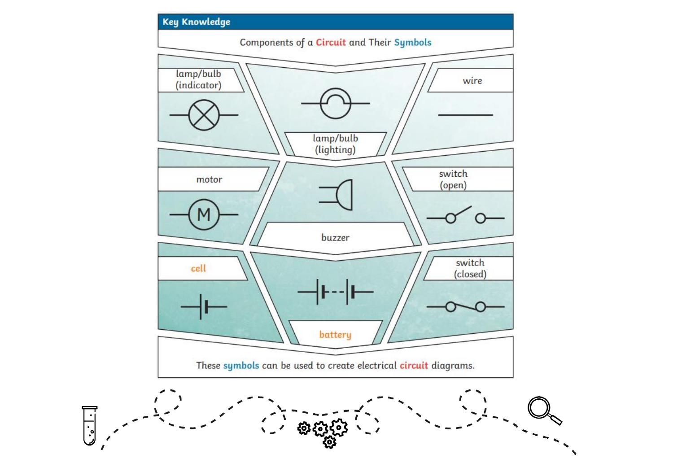